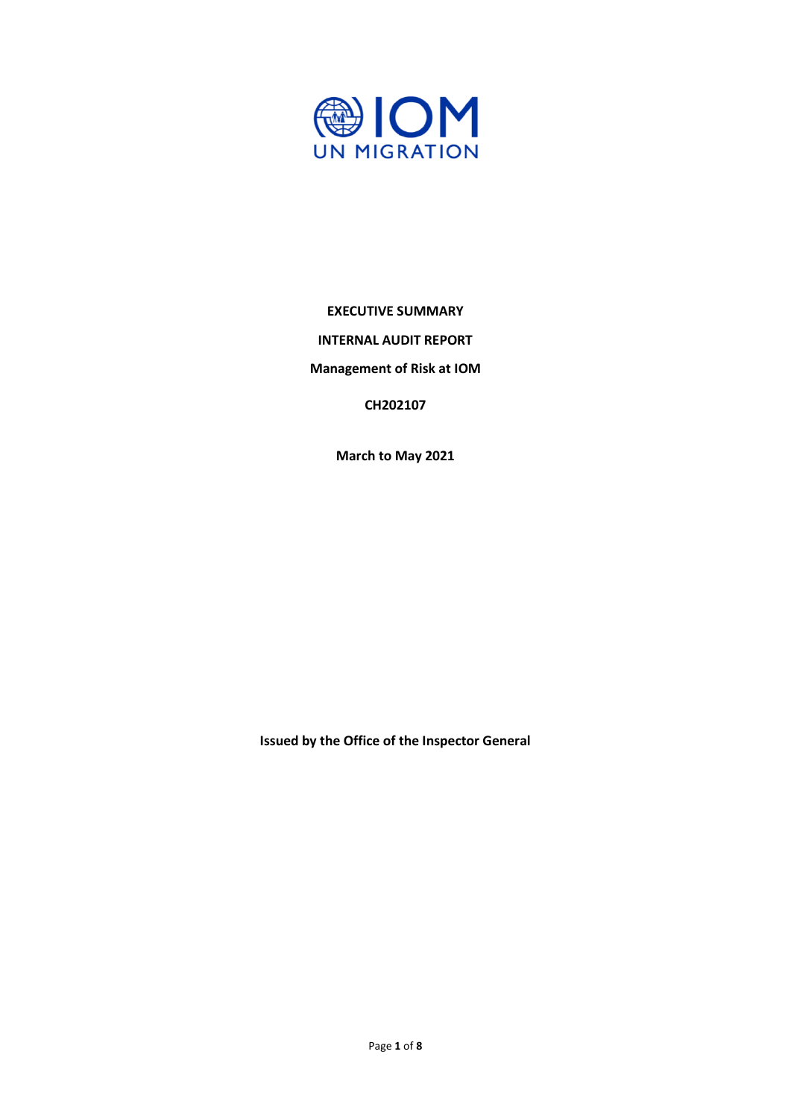

### **EXECUTIVE SUMMARY**

**INTERNAL AUDIT REPORT**

**Management of Risk at IOM**

**CH202107**

**March to May 2021**

**Issued by the Office of the Inspector General**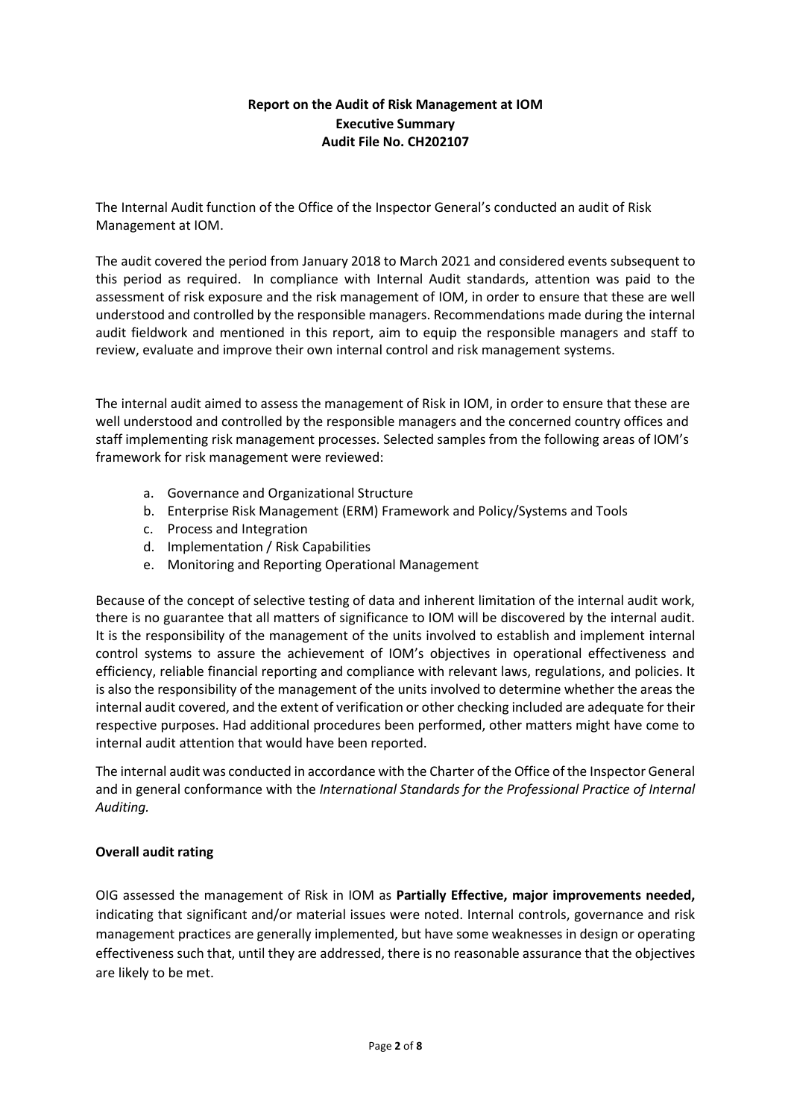# **Report on the Audit of Risk Management at IOM Executive Summary Audit File No. CH202107**

The Internal Audit function of the Office of the Inspector General's conducted an audit of Risk Management at IOM.

The audit covered the period from January 2018 to March 2021 and considered events subsequent to this period as required. In compliance with Internal Audit standards, attention was paid to the assessment of risk exposure and the risk management of IOM, in order to ensure that these are well understood and controlled by the responsible managers. Recommendations made during the internal audit fieldwork and mentioned in this report, aim to equip the responsible managers and staff to review, evaluate and improve their own internal control and risk management systems.

The internal audit aimed to assess the management of Risk in IOM, in order to ensure that these are well understood and controlled by the responsible managers and the concerned country offices and staff implementing risk management processes. Selected samples from the following areas of IOM's framework for risk management were reviewed:

- a. Governance and Organizational Structure
- b. Enterprise Risk Management (ERM) Framework and Policy/Systems and Tools
- c. Process and Integration
- d. Implementation / Risk Capabilities
- e. Monitoring and Reporting Operational Management

Because of the concept of selective testing of data and inherent limitation of the internal audit work, there is no guarantee that all matters of significance to IOM will be discovered by the internal audit. It is the responsibility of the management of the units involved to establish and implement internal control systems to assure the achievement of IOM's objectives in operational effectiveness and efficiency, reliable financial reporting and compliance with relevant laws, regulations, and policies. It is also the responsibility of the management of the units involved to determine whether the areas the internal audit covered, and the extent of verification or other checking included are adequate for their respective purposes. Had additional procedures been performed, other matters might have come to internal audit attention that would have been reported.

The internal audit was conducted in accordance with the Charter of the Office of the Inspector General and in general conformance with the *International Standards for the Professional Practice of Internal Auditing.*

### **Overall audit rating**

OIG assessed the management of Risk in IOM as **Partially Effective, major improvements needed,** indicating that significant and/or material issues were noted. Internal controls, governance and risk management practices are generally implemented, but have some weaknesses in design or operating effectiveness such that, until they are addressed, there is no reasonable assurance that the objectives are likely to be met.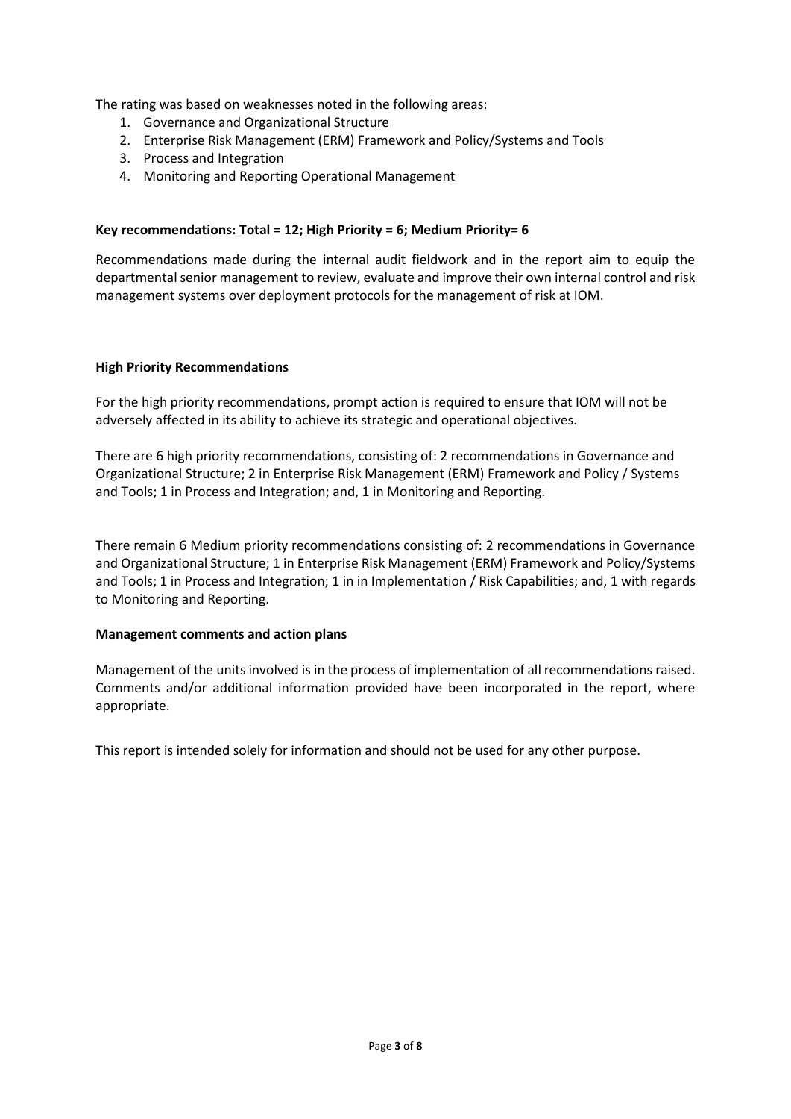The rating was based on weaknesses noted in the following areas:

- 1. Governance and Organizational Structure
- 2. Enterprise Risk Management (ERM) Framework and Policy/Systems and Tools
- 3. Process and Integration
- 4. Monitoring and Reporting Operational Management

### **Key recommendations: Total = 12; High Priority = 6; Medium Priority= 6**

Recommendations made during the internal audit fieldwork and in the report aim to equip the departmental senior management to review, evaluate and improve their own internal control and risk management systems over deployment protocols for the management of risk at IOM.

#### **High Priority Recommendations**

For the high priority recommendations, prompt action is required to ensure that IOM will not be adversely affected in its ability to achieve its strategic and operational objectives.

There are 6 high priority recommendations, consisting of: 2 recommendations in Governance and Organizational Structure; 2 in Enterprise Risk Management (ERM) Framework and Policy / Systems and Tools; 1 in Process and Integration; and, 1 in Monitoring and Reporting.

There remain 6 Medium priority recommendations consisting of: 2 recommendations in Governance and Organizational Structure; 1 in Enterprise Risk Management (ERM) Framework and Policy/Systems and Tools; 1 in Process and Integration; 1 in in Implementation / Risk Capabilities; and, 1 with regards to Monitoring and Reporting.

### **Management comments and action plans**

Management of the units involved is in the process of implementation of all recommendations raised. Comments and/or additional information provided have been incorporated in the report, where appropriate.

This report is intended solely for information and should not be used for any other purpose.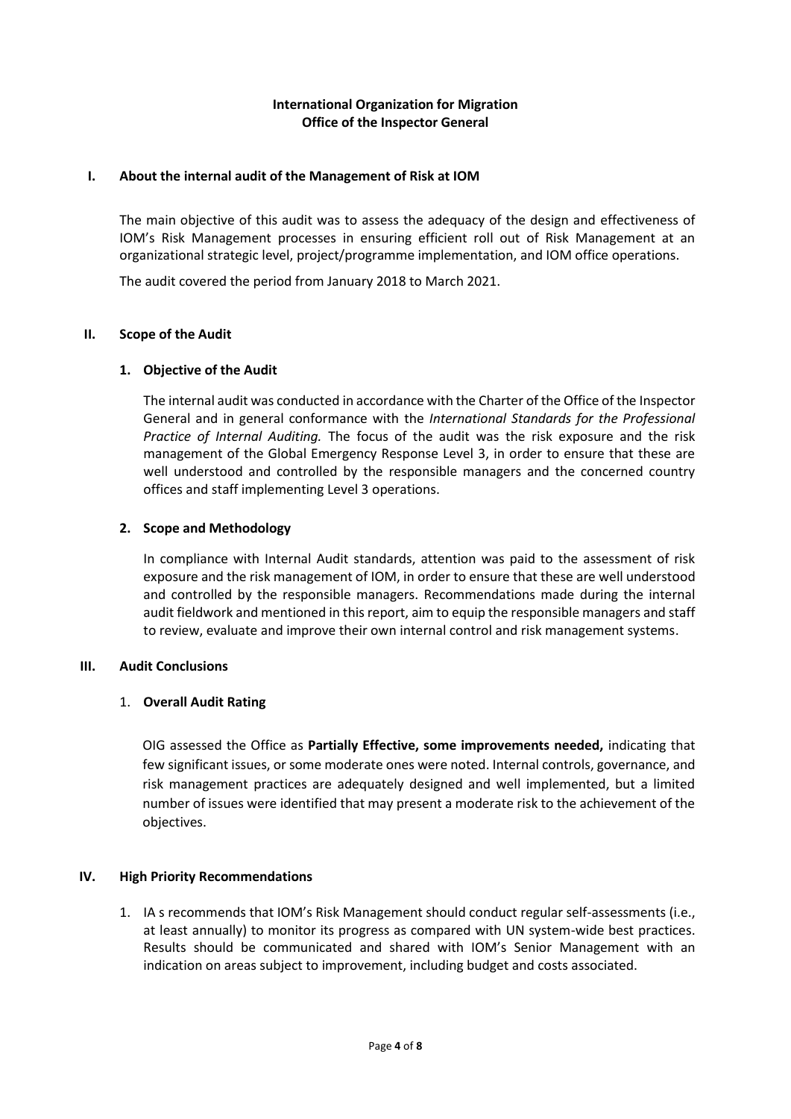## **International Organization for Migration Office of the Inspector General**

### **I. About the internal audit of the Management of Risk at IOM**

The main objective of this audit was to assess the adequacy of the design and effectiveness of IOM's Risk Management processes in ensuring efficient roll out of Risk Management at an organizational strategic level, project/programme implementation, and IOM office operations.

The audit covered the period from January 2018 to March 2021.

### **II. Scope of the Audit**

### **1. Objective of the Audit**

The internal audit was conducted in accordance with the Charter of the Office of the Inspector General and in general conformance with the *International Standards for the Professional Practice of Internal Auditing.* The focus of the audit was the risk exposure and the risk management of the Global Emergency Response Level 3, in order to ensure that these are well understood and controlled by the responsible managers and the concerned country offices and staff implementing Level 3 operations.

### **2. Scope and Methodology**

In compliance with Internal Audit standards, attention was paid to the assessment of risk exposure and the risk management of IOM, in order to ensure that these are well understood and controlled by the responsible managers. Recommendations made during the internal audit fieldwork and mentioned in this report, aim to equip the responsible managers and staff to review, evaluate and improve their own internal control and risk management systems.

## **III. Audit Conclusions**

### 1. **Overall Audit Rating**

OIG assessed the Office as **Partially Effective, some improvements needed,** indicating that few significant issues, or some moderate ones were noted. Internal controls, governance, and risk management practices are adequately designed and well implemented, but a limited number of issues were identified that may present a moderate risk to the achievement of the objectives.

### **IV. High Priority Recommendations**

1. IA s recommends that IOM's Risk Management should conduct regular self-assessments (i.e., at least annually) to monitor its progress as compared with UN system-wide best practices. Results should be communicated and shared with IOM's Senior Management with an indication on areas subject to improvement, including budget and costs associated.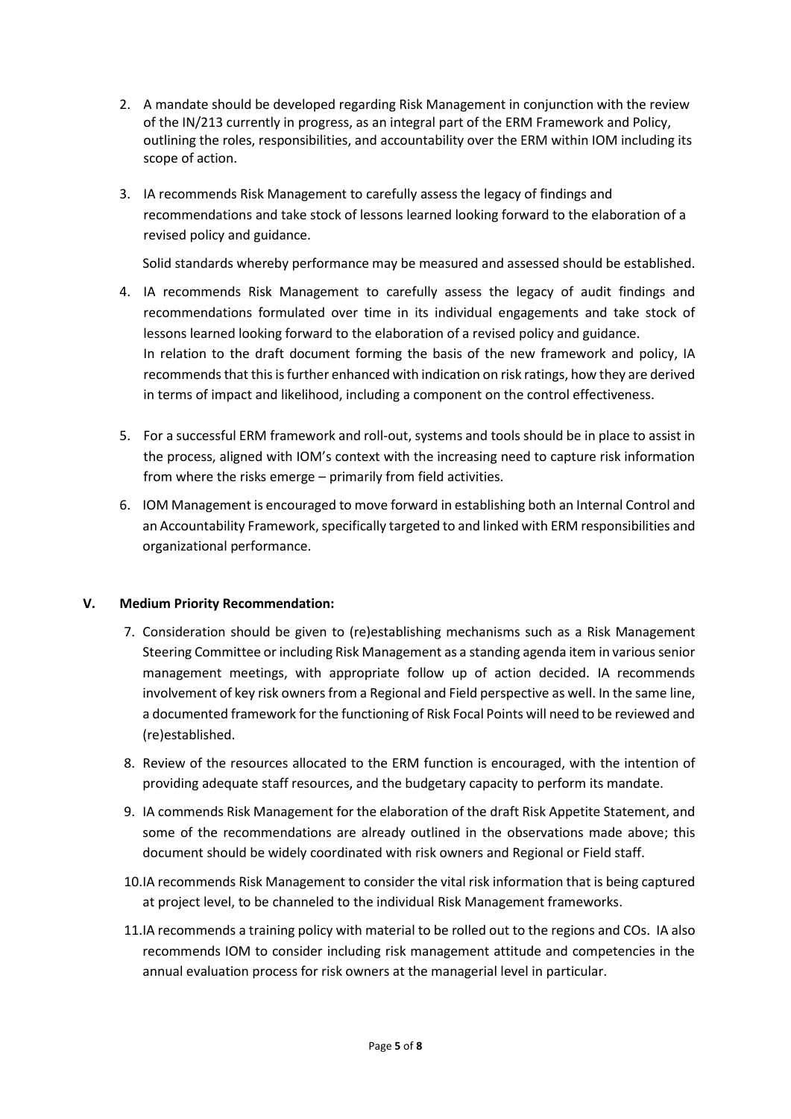- 2. A mandate should be developed regarding Risk Management in conjunction with the review of the IN/213 currently in progress, as an integral part of the ERM Framework and Policy, outlining the roles, responsibilities, and accountability over the ERM within IOM including its scope of action.
- 3. IA recommends Risk Management to carefully assess the legacy of findings and recommendations and take stock of lessons learned looking forward to the elaboration of a revised policy and guidance.

Solid standards whereby performance may be measured and assessed should be established.

- 4. IA recommends Risk Management to carefully assess the legacy of audit findings and recommendations formulated over time in its individual engagements and take stock of lessons learned looking forward to the elaboration of a revised policy and guidance. In relation to the draft document forming the basis of the new framework and policy, IA recommends that this is further enhanced with indication on risk ratings, how they are derived in terms of impact and likelihood, including a component on the control effectiveness.
- 5. For a successful ERM framework and roll-out, systems and tools should be in place to assist in the process, aligned with IOM's context with the increasing need to capture risk information from where the risks emerge – primarily from field activities.
- 6. IOM Management is encouraged to move forward in establishing both an Internal Control and an Accountability Framework, specifically targeted to and linked with ERM responsibilities and organizational performance.

### **V. Medium Priority Recommendation:**

- 7. Consideration should be given to (re)establishing mechanisms such as a Risk Management Steering Committee or including Risk Management as a standing agenda item in various senior management meetings, with appropriate follow up of action decided. IA recommends involvement of key risk owners from a Regional and Field perspective as well. In the same line, a documented framework for the functioning of Risk Focal Points will need to be reviewed and (re)established.
- 8. Review of the resources allocated to the ERM function is encouraged, with the intention of providing adequate staff resources, and the budgetary capacity to perform its mandate.
- 9. IA commends Risk Management for the elaboration of the draft Risk Appetite Statement, and some of the recommendations are already outlined in the observations made above; this document should be widely coordinated with risk owners and Regional or Field staff.
- 10.IA recommends Risk Management to consider the vital risk information that is being captured at project level, to be channeled to the individual Risk Management frameworks.
- 11.IA recommends a training policy with material to be rolled out to the regions and COs. IA also recommends IOM to consider including risk management attitude and competencies in the annual evaluation process for risk owners at the managerial level in particular.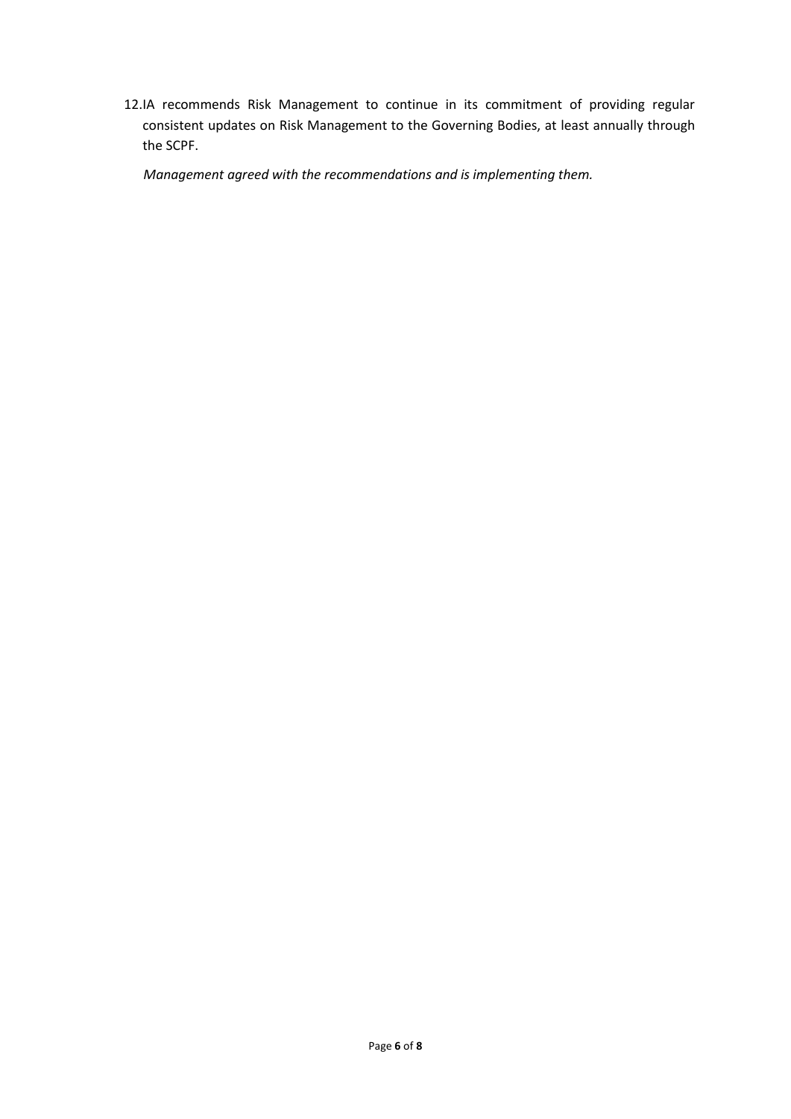12.IA recommends Risk Management to continue in its commitment of providing regular consistent updates on Risk Management to the Governing Bodies, at least annually through the SCPF.

*Management agreed with the recommendations and is implementing them.*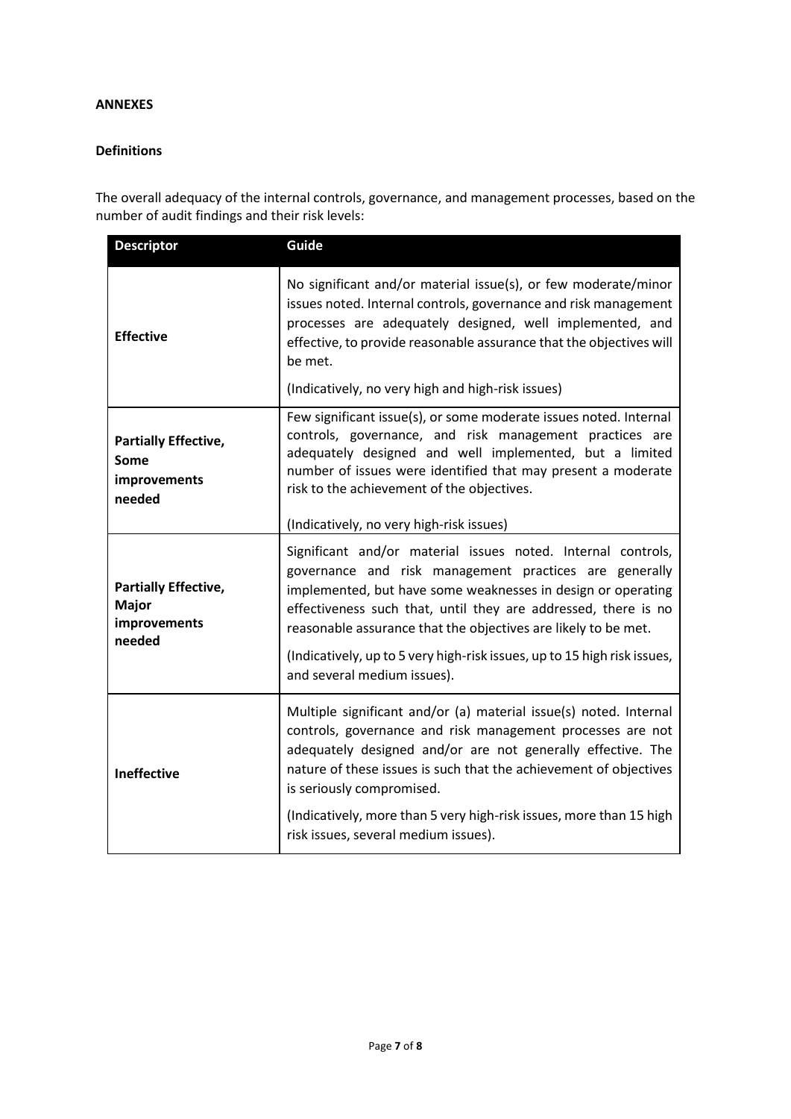### **ANNEXES**

### **Definitions**

The overall adequacy of the internal controls, governance, and management processes, based on the number of audit findings and their risk levels:

| <b>Descriptor</b>                                                     | Guide                                                                                                                                                                                                                                                                                                                                                                                                                                 |  |  |
|-----------------------------------------------------------------------|---------------------------------------------------------------------------------------------------------------------------------------------------------------------------------------------------------------------------------------------------------------------------------------------------------------------------------------------------------------------------------------------------------------------------------------|--|--|
| <b>Effective</b>                                                      | No significant and/or material issue(s), or few moderate/minor<br>issues noted. Internal controls, governance and risk management<br>processes are adequately designed, well implemented, and<br>effective, to provide reasonable assurance that the objectives will<br>be met.<br>(Indicatively, no very high and high-risk issues)                                                                                                  |  |  |
| <b>Partially Effective,</b><br>Some<br>improvements<br>needed         | Few significant issue(s), or some moderate issues noted. Internal<br>controls, governance, and risk management practices are<br>adequately designed and well implemented, but a limited<br>number of issues were identified that may present a moderate<br>risk to the achievement of the objectives.<br>(Indicatively, no very high-risk issues)                                                                                     |  |  |
| <b>Partially Effective,</b><br><b>Major</b><br>improvements<br>needed | Significant and/or material issues noted. Internal controls,<br>governance and risk management practices are generally<br>implemented, but have some weaknesses in design or operating<br>effectiveness such that, until they are addressed, there is no<br>reasonable assurance that the objectives are likely to be met.<br>(Indicatively, up to 5 very high-risk issues, up to 15 high risk issues,<br>and several medium issues). |  |  |
| <b>Ineffective</b>                                                    | Multiple significant and/or (a) material issue(s) noted. Internal<br>controls, governance and risk management processes are not<br>adequately designed and/or are not generally effective. The<br>nature of these issues is such that the achievement of objectives<br>is seriously compromised.<br>(Indicatively, more than 5 very high-risk issues, more than 15 high<br>risk issues, several medium issues).                       |  |  |